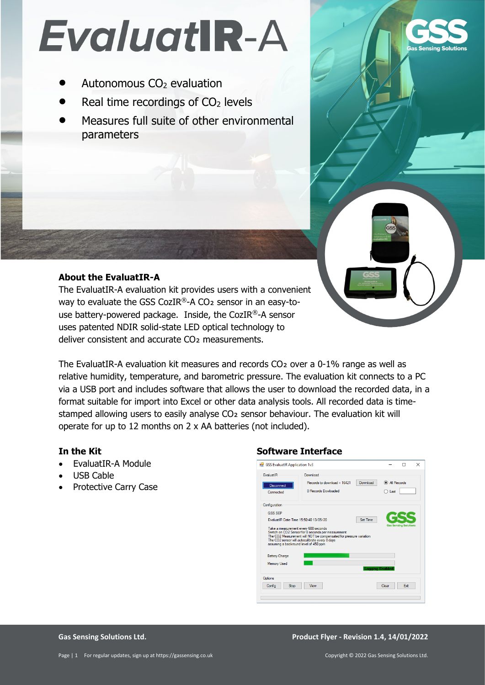# EvaluatIR-A

- Autonomous CO<sub>2</sub> evaluation
- Real time recordings of  $CO<sub>2</sub>$  levels
- Measures full suite of other environmental parameters

## **About the EvaluatIR-A**

The EvaluatIR-A evaluation kit provides users with a convenient way to evaluate the GSS CozIR®-A CO<sub>2</sub> sensor in an easy-touse battery-powered package. Inside, the CozIR®-A sensor uses patented NDIR solid-state LED optical technology to deliver consistent and accurate CO₂ measurements.

The EvaluatIR-A evaluation kit measures and records CO<sub>2</sub> over a 0-1% range as well as relative humidity, temperature, and barometric pressure. The evaluation kit connects to a PC via a USB port and includes software that allows the user to download the recorded data, in a format suitable for import into Excel or other data analysis tools. All recorded data is timestamped allowing users to easily analyse CO<sub>2</sub> sensor behaviour. The evaluation kit will operate for up to 12 months on 2 x AA batteries (not included).

## **In the Kit**

- EvaluatIR-A Module
- USB Cable
- Protective Carry Case

## **Software Interface**